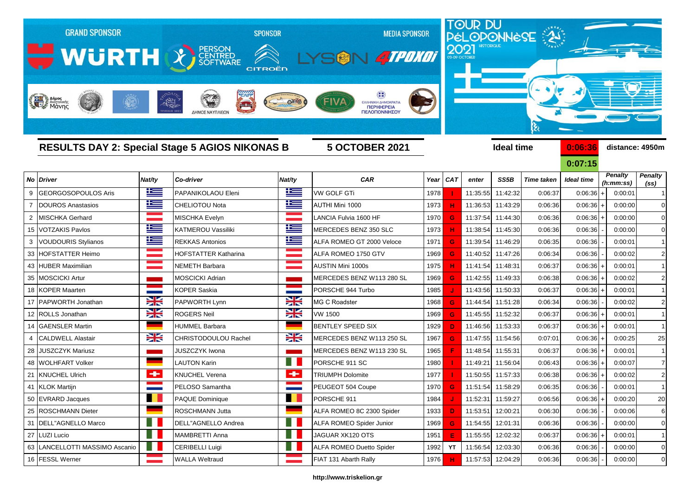|                | <b>GRAND SPONSOR</b><br>WURTH X SCRIPTION<br>Anjues<br>Mayoniking |          | $-1821$<br>فسرعك<br>ΔΗΜΟΣ ΝΑΥΠΛΙΕΩΜ | <b>SPONSOR</b><br>CITROËN | <b>MEDIA SPONSOR</b><br>SON 4TPDK01<br>FIVA<br>ΕΛΛΗΝΙΚΗ ΔΗΜΟΚΡΑΤΙΑ<br>ΠΕΡΙΦΕΡΕΙΑ<br>ΠΕΛΟΠΟΝΝΗΣΟΥ |      | 2021       |                   |                   | <b>TOUR DU<br/>PÉLOPONNÈSE : AS:</b><br>કે |                   |                |                   |
|----------------|-------------------------------------------------------------------|----------|-------------------------------------|---------------------------|--------------------------------------------------------------------------------------------------|------|------------|-------------------|-------------------|--------------------------------------------|-------------------|----------------|-------------------|
|                | <b>RESULTS DAY 2: Special Stage 5 AGIOS NIKONAS B</b>             |          |                                     |                           | <b>5 OCTOBER 2021</b>                                                                            |      |            |                   | <b>Ideal time</b> |                                            | 0:06:36           |                | distance: 4950m   |
|                |                                                                   |          |                                     |                           |                                                                                                  |      |            |                   |                   |                                            | 0:07:15           | <b>Penalty</b> | <b>Penalty</b>    |
|                | No Driver                                                         | Nat/ty   | Co-driver                           | Nat/ty                    | <b>CAR</b>                                                                                       | Year | <b>CAT</b> | enter             | SS5B              | <b>Time taken</b>                          | <b>Ideal time</b> | (h:mm:ss)      | (s <sub>s</sub> ) |
| 9              | <b>GEORGOSOPOULOS Aris</b>                                        | $\pm$    | PAPANIKOLAOU Eleni                  | <u>k </u>                 | <b>VW GOLF GTi</b>                                                                               | 1978 |            | 11:35:55          | 11:42:32          | 0:06:37                                    | $0:06:36 +$       | 0:00:01        |                   |
|                | <b>DOUROS Anastasios</b>                                          | $\equiv$ | <b>CHELIOTOU Nota</b>               | 些                         | AUTHI Mini 1000                                                                                  | 1973 |            | 11:36:53          | 11:43:29          | 0:06:36                                    | 0:06:36           | 0:00:00        | $\mathbf 0$       |
| $\overline{2}$ | <b>MISCHKA Gerhard</b>                                            |          | MISCHKA Evelyn                      |                           | LANCIA Fulvia 1600 HF                                                                            | 1970 | G          | 11:37:54          | 11:44:30          | 0:06:36                                    | $0:06:36$ +       | 0:00:00        | $\Omega$          |
| 15             | <b>VOTZAKIS Pavlos</b>                                            | Ħ        | KATMEROU Vassiliki                  | Ħ                         | MERCEDES BENZ 350 SLC                                                                            | 1973 |            | 11:38:54          | 11:45:30          | 0:06:36                                    | 0:06:36           | 0:00:00        |                   |
| 3              | <b>VOUDOURIS Stylianos</b>                                        | Ħ        | <b>REKKAS Antonios</b>              | Ħ                         | ALFA ROMEO GT 2000 Veloce                                                                        | 1971 | G          | 11:39:54          | 11:46:29          | 0:06:35                                    | 0:06:36           | 0:00:01        |                   |
| 33             | <b>HOFSTATTER Heimo</b>                                           |          | HOFSTATTER Katharina                |                           | ALFA ROMEO 1750 GTV                                                                              | 1969 | G          | 11:40:52          | 11:47:26          | 0:06:34                                    | 0:06:36           | 0:00:02        | $\overline{2}$    |
| 43             | <b>HUBER Maximilian</b>                                           |          | NEMETH Barbara                      |                           | AUSTIN Mini 1000s                                                                                | 1975 |            | 11:41:54          | 11:48:31          | 0:06:37                                    | 0:06:36           | 0:00:01        | $\mathbf{1}$      |
| 35             | <b>MOSCICKI Artur</b>                                             |          | MOSCICKI Adrian                     |                           | MERCEDES BENZ W113 280 SL                                                                        | 1969 | G          | 11:42:55          | 11:49:33          | 0:06:38                                    | $0:06:36+$        | 0:00:02        | $\overline{2}$    |
| 18             | <b>KOPER Maarten</b>                                              |          | <b>KOPER Saskia</b>                 |                           | PORSCHE 944 Turbo                                                                                | 1985 |            | 11:43:56          | 11:50:33          | 0:06:37                                    | $0:06:36 +$       | 0:00:01        |                   |
| 17             | <b>PAPWORTH Jonathan</b>                                          | X        | PAPWORTH Lynn                       | X                         | MG C Roadster                                                                                    | 1968 | G          | 11:44:54          | 11:51:28          | 0:06:34                                    | 0:06:36           | 0:00:02        | $\overline{2}$    |
| 12             | <b>ROLLS Jonathan</b>                                             | X        | <b>ROGERS Neil</b>                  | Ж                         | VW 1500                                                                                          | 1969 | G          | 11:45:55          | 11:52:32          | 0:06:37                                    | $0:06:36 +$       | 0:00:01        |                   |
| 14             | <b>GAENSLER Martin</b>                                            |          | HUMMEL Barbara                      |                           | <b>BENTLEY SPEED SIX</b>                                                                         | 1929 | D          | 11:46:56          | 11:53:33          | 0:06:37                                    | $0:06:36+$        | 0:00:01        | $\mathbf{1}$      |
|                | <b>CALDWELL Alastair</b>                                          | X        | CHRISTODOULOU Rachel                | <b>XK</b>                 | MERCEDES BENZ W113 250 SL                                                                        | 1967 | G          | 11:47:55          | 11:54:56          | 0:07:01                                    | $0:06:36+$        | 0:00:25        | 25                |
| 28             | <b>JUSZCZYK Mariusz</b>                                           |          | <b>JUSZCZYK Iwona</b>               |                           | MERCEDES BENZ W113 230 SL                                                                        | 1965 |            | 11:48:54          | 11:55:31          | 0:06:37                                    | $0:06:36 +$       | 0:00:01        |                   |
| 48             | <b>WOLHFART Volker</b>                                            |          | LAUTON Karin                        |                           | PORSCHE 911 SC                                                                                   | 1980 |            | 11:49:21          | 11:56:04          | 0:06:43                                    | $0:06:36 +$       | 0:00:07        | 7                 |
| 21             | <b>KNUCHEL Ulrich</b>                                             | ÷        | <b>KNUCHEL Verena</b>               | ÷                         | <b>TRIUMPH Dolomite</b>                                                                          | 1977 |            | 11:50:55          | 11:57:33          | 0:06:38                                    | $0:06:36 +$       | 0:00:02        | $\overline{2}$    |
|                | 41 KLOK Martijn                                                   |          | PELOSO Samantha                     |                           | PEUGEOT 504 Coupe                                                                                | 1970 | G          | 11:51:54 11:58:29 |                   | 0:06:35                                    | 0:06:36           | 0:00:01        |                   |
|                | 50 EVRARD Jacques                                                 | . .      | PAQUE Dominique                     | . .                       | PORSCHE 911                                                                                      | 1984 |            | 11:52:31          | 11:59:27          | 0:06:56                                    | $0:06:36 +$       | 0:00:20        | 20                |
|                | 25 ROSCHMANN Dieter                                               |          | ROSCHMANN Jutta                     |                           | ALFA ROMEO 8C 2300 Spider                                                                        | 1933 | D          | 11:53:51          | 12:00:21          | 0:06:30                                    | 0:06:36           | 0:00:06        | 6                 |
|                | 31   DELL"AGNELLO Marco                                           | H.       | DELL"AGNELLO Andrea                 | H.                        | ALFA ROMEO Spider Junior                                                                         | 1969 | G          | 11:54:55 12:01:31 |                   | 0:06:36                                    | 0:06:36           | 0:00:00        | 0                 |
|                | 27 LUZI Lucio                                                     | n a s    | MAMBRETTI Anna                      | $\blacksquare$            | JAGUAR XK120 OTS                                                                                 | 1951 | Ε          | 11:55:55          | 12:02:32          | 0:06:37                                    | 0:06:36           | 0:00:01        | 1                 |
|                | 63 LANCELLOTTI MASSIMO Ascanio                                    |          | <b>CERIBELLI Luigi</b>              |                           | ALFA ROMEO Duetto Spider                                                                         | 1992 | YT         |                   | 11:56:54 12:03:30 | 0:06:36                                    | 0:06:36           | 0:00:00        | $\mathbf 0$       |

## **http://www.triskelion.gr**

16 FESSL Werner Natural MALLA Weltraud Natural Prince of FIAT 131 Abarth Rally 1976 **H** 11:57:53 12:04:29 0:06:36 0:06:36 0:06:36 0:06:36 0:00:00 0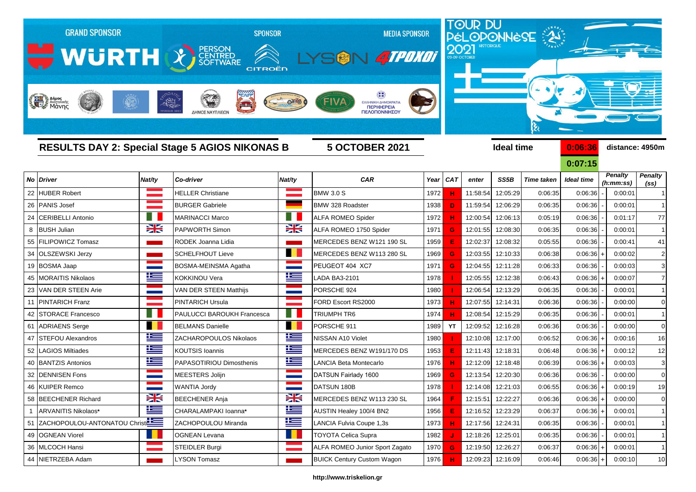|    | <b>GRAND SPONSOR</b><br><b>WURTH CONTRIGHT WARE</b><br>Anjues<br>Mary Aversauche |           | <b>SPONSOR</b><br>CITROËN<br>$-1821$<br>$\rightarrow$<br>ΔΗΜΟΣ ΝΑΥΠΛΙΕΩΝ |        | <b>MEDIA SPONSOR</b><br>SON 4TPOKOT<br>ΕΛΛΗΝΙΚΗ ΔΗΜΟΚΡΑΤΙΑ<br>ΠΕΡΙΦΕΡΕΙΑ<br>ΠΕΛΟΠΟΝΝΗΣΟΥ |      |            | TOUR DU<br>PÉLOPONNÈSE |                   |                   |                   |                             |                                     |  |  |
|----|----------------------------------------------------------------------------------|-----------|--------------------------------------------------------------------------|--------|------------------------------------------------------------------------------------------|------|------------|------------------------|-------------------|-------------------|-------------------|-----------------------------|-------------------------------------|--|--|
|    |                                                                                  |           | <b>RESULTS DAY 2: Special Stage 5 AGIOS NIKONAS B</b>                    |        | <b>5 OCTOBER 2021</b>                                                                    |      |            |                        | <b>Ideal time</b> |                   | 0:06:36           | distance: 4950m             |                                     |  |  |
|    |                                                                                  |           |                                                                          |        |                                                                                          |      |            |                        |                   |                   | 0:07:15           |                             |                                     |  |  |
|    | <b>No Driver</b>                                                                 | Nat/ty    | Co-driver                                                                | Nat/ty | <b>CAR</b>                                                                               | Year | <b>CAT</b> | enter                  | SS5B              | <b>Time taken</b> | <b>Ideal time</b> | <b>Penalty</b><br>(h:mm:ss) | <b>Penalty</b><br>(s <sub>s</sub> ) |  |  |
| 22 | <b>HUBER Robert</b>                                                              |           | <b>HELLER Christiane</b>                                                 |        | <b>BMW 3.0 S</b>                                                                         | 1972 |            | 11:58:54               | 12:05:29          | 0:06:35           | 0:06:36           | 0:00:01                     |                                     |  |  |
| 26 | <b>PANIS Josef</b>                                                               |           | <b>BURGER Gabriele</b>                                                   |        | BMW 328 Roadster                                                                         | 1938 | D          | 11:59:54               | 12:06:29          | 0:06:35           | 0:06:36           | 0:00:01                     |                                     |  |  |
| 24 | <b>CERIBELLI Antonio</b>                                                         |           | <b>MARINACCI Marco</b>                                                   |        | <b>ALFA ROMEO Spider</b>                                                                 | 1972 |            | 12:00:54               | 12:06:13          | 0:05:19           | 0:06:36           | 0:01:17                     | 77                                  |  |  |
| 8  | <b>BUSH Julian</b>                                                               | X         | PAPWORTH Simon                                                           | ≍      | ALFA ROMEO 1750 Spider                                                                   | 1971 | G          | 12:01:55               | 12:08:30          | 0:06:35           | 0:06:36           | 0:00:01                     | $\mathbf{1}$                        |  |  |
| 55 | <b>FILIPOWICZ Tomasz</b>                                                         |           | RODEK Joanna Lidia                                                       |        | MERCEDES BENZ W121 190 SL                                                                | 1959 |            | 12:02:37               | 12:08:32          | 0:05:55           | 0:06:36           | 0:00:41                     | 41                                  |  |  |
| 34 | OLSZEWSKI Jerzy                                                                  |           | <b>SCHELFHOUT Lieve</b>                                                  | n d    | MERCEDES BENZ W113 280 SL                                                                | 1969 | G          | 12:03:55               | 12:10:33          | 0:06:38           | 0:06:36           | 0:00:02                     | $\overline{2}$                      |  |  |
| 19 | <b>BOSMA Jaap</b>                                                                |           | BOSMA-MEINSMA Agatha                                                     |        | PEUGEOT 404 XC7                                                                          | 1971 | G          | 12:04:55               | 12:11:28          | 0:06:33           | 0:06:36           | 0:00:03                     | 3 <sup>1</sup>                      |  |  |
|    | <b>MORAITIS Nikolaos</b>                                                         | <u>is</u> | KOKKINOU Vera                                                            | ľ      | <b>LADA BA3-2101</b>                                                                     | 1978 |            | 12:05:55               | 12:12:38          | 0:06:43           | 0:06:36           | 0:00:07                     | $\overline{7}$                      |  |  |
| 23 | VAN DER STEEN Arie                                                               |           | VAN DER STEEN Matthijs                                                   |        | PORSCHE 924                                                                              | 1980 |            | 12:06:54               | 12:13:29          | 0:06:35           | 0:06:36           | 0:00:01                     |                                     |  |  |
|    | <b>PINTARICH Franz</b>                                                           |           | <b>PINTARICH Ursula</b>                                                  |        | FORD Escort RS2000                                                                       | 1973 |            | 12:07:55               | 12:14:31          | 0:06:36           | 0:06:36           | 0:00:00                     | $\overline{0}$                      |  |  |
| 42 | <b>ISTORACE Francesco</b>                                                        | ш         | <b>PAULUCCI BAROUKH Francesca</b>                                        | - 11   | TRIUMPH TR6                                                                              | 1974 |            | 12:08:54               | 12:15:29          | 0:06:35           | 0:06:36           | 0:00:01                     |                                     |  |  |
| 61 | <b>ADRIAENS</b> Serge                                                            | H I       | <b>BELMANS Danielle</b>                                                  |        | PORSCHE 911                                                                              | 1989 | YT         | 12:09:52               | 12:16:28          | 0:06:36           | 0:06:36           | 0:00:00                     | $\overline{0}$                      |  |  |
| 47 | <b>ISTEFOU Alexandros</b>                                                        | 些         | ZACHAROPOULOS Nikolaos                                                   | Ħ      | NISSAN A10 Violet                                                                        | 1980 |            | 12:10:08               | 12:17:00          | 0:06:52           | 0:06:36           | 0:00:16                     | 16                                  |  |  |
| 52 | LAGIOS Miltiades                                                                 | 坚         | KOUTSIS Ioannis                                                          | N      | MERCEDES BENZ W191/170 DS                                                                | 1953 |            | 12:11:43               | 12:18:31          | 0:06:48           | 0:06:36           | 0:00:12                     | 12                                  |  |  |
| 40 | <b>BANTZIS Antonios</b>                                                          | 些         | PAPASOTIRIOU Dimosthenis                                                 | l      | <b>LANCIA Beta Montecarlo</b>                                                            | 1976 |            | 12:12:09               | 12:18:48          | 0:06:39           | 0:06:36           | 0:00:03                     | 3 <sup>1</sup>                      |  |  |
| 32 | <b>DENNISEN Fons</b>                                                             |           | <b>MEESTERS Jolijn</b>                                                   |        | DATSUN Fairlady 1600                                                                     | 1969 |            | 12:13:54               | 12:20:30          | 0:06:36           | 0:06:36           | 0:00:00                     | $\overline{0}$                      |  |  |
|    | 46 KUIPER Remco                                                                  |           | <b>WANTIA Jordy</b>                                                      |        | DATSUN 180B                                                                              | 1978 |            | 12:14:08               | 12:21:03          | 0:06:55           | $0:06:36 +$       | 0:00:19                     | 19                                  |  |  |
|    | 58 BEECHENER Richard                                                             | X         | <b>BEECHENER Anja</b>                                                    | X      | MERCEDES BENZ W113 230 SL                                                                | 1964 |            | 12:15:51               | 12:22:27          | 0:06:36           | $0:06:36 +$       | 0:00:00                     | $\overline{0}$                      |  |  |
|    | ARVANITIS Nikolaos*                                                              | N         | CHARALAMPAKI Ioanna*                                                     | ١Œ     | AUSTIN Healey 100/4 BN2                                                                  | 1956 |            | 12:16:52               | 12:23:29          | 0:06:37           | 0:06:36           | 0:00:01                     | -1                                  |  |  |
|    | 51 ZACHOPOULOU-ANTONATOU Christ                                                  |           | ZACHOPOULOU Miranda                                                      | ٢      | LANCIA Fulvia Coupe 1,3s                                                                 | 1973 | н          | 12:17:56               | 12:24:31          | 0:06:35           | 0:06:36           | 0:00:01                     | $\mathbf 1$                         |  |  |
|    | 49 OGNEAN Viorel                                                                 |           | <b>OGNEAN Levana</b>                                                     |        | <b>TOYOTA Celica Supra</b>                                                               | 1982 |            | 12:18:26               | 12:25:01          | 0:06:35           | 0:06:36           | 0:00:01                     | $\mathbf{1}$                        |  |  |
|    | 36 MLCOCH Hansi                                                                  |           | STEIDLER Burgi                                                           |        | ALFA ROMEO Junior Sport Zagato                                                           | 1970 | G          | 12:19:50               | 12:26:27          | 0:06:37           | 0:06:36           | 0:00:01                     | $\mathbf{1}$                        |  |  |
|    | 44 NIETRZEBA Adam                                                                |           | LYSON Tomasz                                                             |        | <b>BUICK Century Custom Wagon</b>                                                        | 1976 |            | 12:09:23               | 12:16:09          | 0:06:46           | 0:06:36           | 0:00:10                     | 10                                  |  |  |

## **http://www.triskelion.gr**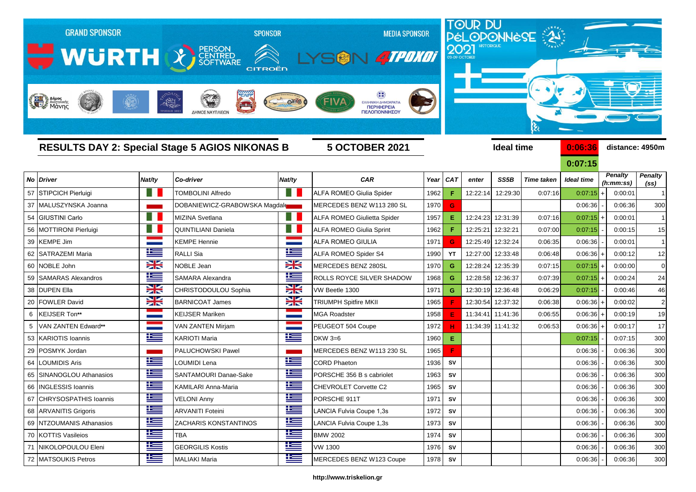|    | <b>GRAND SPONSOR</b><br>WURTH & BERSON<br>Anjues<br>Mayon |            | <b>SPONSOR</b><br>CITROËN<br>$-1821$<br>ΔΗΜΟΣ ΝΑΥΠΛΙΕΩ |                          | <b>MEDIA SPONSOR</b><br>SON 4TPOKOT<br>ΕΛΛΗΝΙΚΗ ΔΗΜΟΚΡΑΤΙ<br>ΠΕΡΙΦΕΡΕΙΑ<br>ΠΕΛΟΠΟΝΝΗΣΟΥ |         |            | TOUR DU<br>PÉLOPONNÈSE |                   |                   |                              |                      |                   |
|----|-----------------------------------------------------------|------------|--------------------------------------------------------|--------------------------|-----------------------------------------------------------------------------------------|---------|------------|------------------------|-------------------|-------------------|------------------------------|----------------------|-------------------|
|    |                                                           |            | <b>RESULTS DAY 2: Special Stage 5 AGIOS NIKONAS B</b>  |                          | <b>5 OCTOBER 2021</b>                                                                   |         |            |                        | <b>Ideal time</b> |                   | 0:06:36                      |                      | distance: 4950m   |
|    | No Driver                                                 | Nat/ty     | Co-driver                                              | Nat/ty                   | <b>CAR</b>                                                                              | Year    | <b>CAT</b> | enter                  | SS5B              | <b>Time taken</b> | 0:07:15<br><b>Ideal time</b> | <b>Penalty</b>       | <b>Penalty</b>    |
| 57 | <b>STIPCICH Pierluigi</b>                                 | . .        | <b>TOMBOLINI Alfredo</b>                               |                          | <b>ALFA ROMEO Giulia Spider</b>                                                         | 1962    | F          | 12:22:14               | 12:29:30          | 0:07:16           | 0:07:15                      | (h:mm:ss)<br>0:00:01 | (s <sub>s</sub> ) |
| 37 | MALUSZYNSKA Joanna                                        |            | DOBANIEWICZ-GRABOWSKA Magdal                           |                          | MERCEDES BENZ W113 280 SL                                                               | 1970    | G          |                        |                   |                   | 0:06:36                      | 0:06:36              | 300               |
| 54 | <b>GIUSTINI Carlo</b>                                     |            | <b>MIZINA Svetlana</b>                                 |                          | <b>ALFA ROMEO Giulietta Spider</b>                                                      | 1957    | Ε          | 12:24:23               | 12:31:39          | 0:07:16           | 0:07:15                      | 0:00:01              |                   |
| 56 | MOTTIRONI Pierluigi                                       |            | QUINTILIANI Daniela                                    |                          | <b>ALFA ROMEO Giulia Sprint</b>                                                         | 1962    | F          | 12:25:21               | 12:32:21          | 0:07:00           | 0:07:15                      | 0:00:15              | 15                |
| 39 | <b>KEMPE Jim</b>                                          |            | KEMPE Hennie                                           | <b>Contract Contract</b> | ALFA ROMEO GIULIA                                                                       | 1971    | G          | 12:25:49               | 12:32:24          | 0:06:35           | 0:06:36                      | 0:00:01              | $\overline{1}$    |
| 62 | <b>SATRAZEMI Maria</b>                                    | ١Ξ         | RALLI Sia                                              | Ħ                        | ALFA ROMEO Spider S4                                                                    | 1990    | YT         | 12:27:00               | 12:33:48          | 0:06:48           | 0:06:36                      | 0:00:12              | 12                |
| 60 | NOBLE John                                                | X          | <b>NOBLE Jean</b>                                      | X                        | MERCEDES BENZ 280SL                                                                     | 1970    | G          | 12:28:24               | 12:35:39          | 0:07:15           | 0:07:15                      | 0:00:00              | $\overline{0}$    |
| 59 | <b>SAMARAS Alexandros</b>                                 | N          | SAMARA Alexandra                                       | ĥ                        | ROLLS ROYCE SILVER SHADOW                                                               | 1968    | G          | 12:28:58               | 12:36:37          | 0:07:39           | 0:07:15                      | 0:00:24              | 24                |
|    | 38 DUPEN Ella                                             | X          | CHRISTODOULOU Sophia                                   | XK                       | VW Beetle 1300                                                                          | 1971    | G          | 12:30:19               | 12:36:48          | 0:06:29           | 0:07:15                      | 0:00:46              | 46                |
| 20 | <b>FOWLER David</b>                                       | X          | <b>BARNICOAT James</b>                                 | X                        | <b>TRIUMPH Spitfire MKII</b>                                                            | 1965    |            | 12:30:54               | 12:37:32          | 0:06:38           | 0:06:36                      | 0:00:02              | $\overline{2}$    |
| 6  | KEIJSER Ton**                                             |            | KEIJSER Mariken                                        |                          | <b>MGA Roadster</b>                                                                     | 1958    | E          | 11:34:41               | 11:41:36          | 0:06:55           | 0:06:36                      | 0:00:19              | 19                |
|    | VAN ZANTEN Edward**                                       |            | VAN ZANTEN Mirjam                                      |                          | PEUGEOT 504 Coupe                                                                       | 1972    |            |                        | 11:34:39 11:41:32 | 0:06:53           | 0:06:36                      | 0:00:17              | 17                |
| 53 | <b>KARIOTIS Ioannis</b>                                   | <u>is</u>  | KARIOTI Maria                                          | <u>ies</u>               | $DKW$ 3=6                                                                               | 1960    | Е          |                        |                   |                   | 0:07:15                      | 0:07:15              | 300               |
| 29 | POSMYK Jordan                                             |            | <b>PALUCHOWSKI Pawel</b>                               |                          | MERCEDES BENZ W113 230 SL                                                               | 1965    | F          |                        |                   |                   | 0:06:36                      | 0:06:36              | 300               |
| 64 | LOUMIDIS Aris                                             | N          | OUMIDI Lena                                            | M                        | <b>CORD Phaeton</b>                                                                     | 1936    | SV         |                        |                   |                   | 0:06:36                      | 0:06:36              | 300               |
| 65 | SINANOGLOU Athanasios                                     | N          | SANTAMOURI Danae-Sake                                  | Ħ                        | PORSCHE 356 B s cabriolet                                                               | 1963    | SV         |                        |                   |                   | 0:06:36                      | 0:06:36              | 300               |
|    | 66   INGLESSIS Ioannis                                    | Ħ          | KAMILARI Anna-Maria                                    | Æ                        | CHEVROLET Corvette C2                                                                   | 1965    | SV         |                        |                   |                   | 0:06:36                      | 0:06:36              | 300               |
|    | 67 CHRYSOSPATHIS Ioannis                                  | 当          | <b>VELONI Anny</b>                                     | N                        | PORSCHE 911T                                                                            | 1971    | SV         |                        |                   |                   | 0:06:36                      | 0:06:36              | 300               |
|    | 68 ARVANITIS Grigoris                                     | <u>is </u> | <b>ARVANITI Foteini</b>                                | ١Œ                       | LANCIA Fulvia Coupe 1,3s                                                                | 1972    | SV         |                        |                   |                   | 0:06:36                      | 0:06:36              | 300               |
|    | 69 NTZOUMANIS Athanasios                                  | ١Œ         | ZACHARIS KONSTANTINOS                                  | N                        | LANCIA Fulvia Coupe 1,3s                                                                | 1973    | SV         |                        |                   |                   | 0:06:36                      | 0:06:36              | 300               |
|    | 70 KOTTIS Vasileios                                       | Ħ          | <b>TBA</b>                                             | N                        | <b>BMW 2002</b>                                                                         | 1974    | ${\sf SV}$ |                        |                   |                   | 0:06:36                      | 0:06:36              | 300               |
|    | NIKOLOPOULOU Eleni                                        | ١Œ         | <b>GEORGILIS Kostis</b>                                | ١Œ                       | <b>VW 1300</b>                                                                          | 1976    | SV         |                        |                   |                   | 0:06:36                      | 0:06:36              | 300               |
|    | 72 MATSOUKIS Petros                                       | $\equiv$   | <b>MALIAKI Maria</b>                                   | <u> اکت</u>              | MERCEDES BENZ W123 Coupe                                                                | 1978 SV |            |                        |                   |                   | 0:06:36                      | 0:06:36              | 300               |

## **http://www.triskelion.gr**